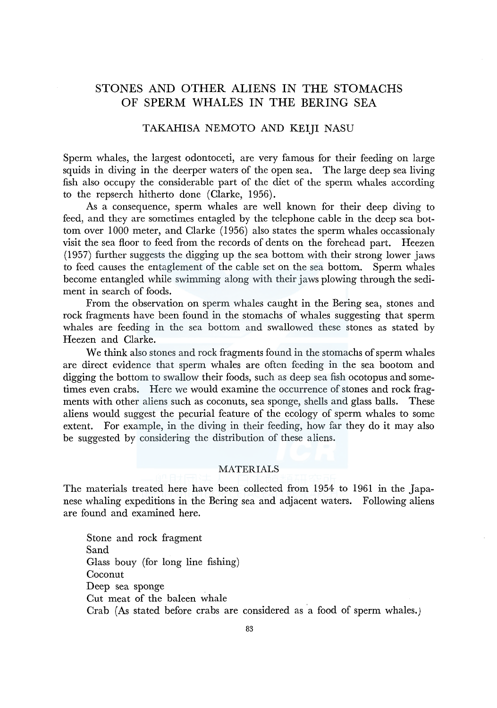# STONES AND OTHER ALIENS IN THE STOMACHS OF SPERM WHALES IN THE BERING SEA

# TAKAHISA NEMOTO AND KEIJI NASU

Sperm whales, the largest odontoceti, are very famous for their feeding on large squids in diving in the deerper waters of the open sea. The large deep sea living fish also occupy the considerable part of the diet of the sperm whales according to the repserch hitherto done (Clarke, 1956).

As a consequence, sperm whales are well known for their deep diving to feed, and they are sometimes entagled by the telephone cable in the deep sea bottom over 1000 meter, and Clarke (1956) also states the sperm whales occassionaly visit the sea floor to feed from the records of dents on the forehead part. Heezen (1957) further suggests the digging up the sea bottom with their strong lower jaws to feed causes the entaglement of the cable set on the sea bottom. Sperm whales become entangled while swimming along with their jaws plowing through the sediment in search of foods.

From the observation on sperm whales caught in the Bering sea, stones and rock fragments have been found in the stomachs of whales suggesting that sperm whales are feeding in the sea bottom and swallowed these stones as stated by Heezen and Clarke.

We think also stones and rock fragments found in the stomachs of sperm whales are direct evidence that sperm whales are often feeding in the sea bootom and digging the bottom to swallow their foods, such as deep sea fish ocotopus and sometimes even crabs. Here we would examine the occurrence of stones and rock fragments with other aliens such as coconuts, sea sponge, shells and glass balls. These aliens would suggest the pecurial feature of the ecology of sperm whales to some extent. For example, in the diving in their feeding, how far they do it may also be suggested by considering the distribution of these aliens.

# **MATERIALS**

The materials treated here have been collected from 1954 to 1961 in the Japanese whaling expeditions in the Bering sea and adjacent waters. Following aliens are found and examined here.

Stone and rock fragment Sand Glass bouy (for long line fishing) Coconut Deep sea sponge Cut meat of the baleen whale Crab (As stated before crabs are considered as a food of sperm whales.)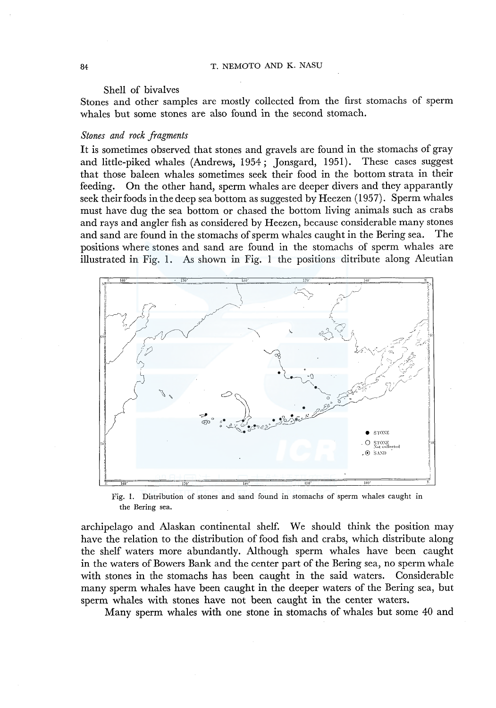#### Shell of bivalves

Stones and other samples are mostly collected from the first stomachs of sperm whales but some stones are also found in the second stomach.

# *Stones and rock fragments*

It is sometimes observed that stones and gravels are found in the stomachs of gray and little-piked whales (Andrews, 1954; Jonsgard, 1951). These cases suggest that those baleen whales sometimes seek their food in the bottom strata in their feeding. On the other hand, sperm whales are deeper divers and they apparantly seek their foods in the deep sea bottom as suggested by Heezen (1957). Sperm whales must have dug the sea bottom or chased the bottom living animals such as crabs and rays and angler fish as considered by Heezen, because considerable many stones and sand are found in the stomachs of sperm whales caught in the Bering sea. The positions where stones and sand are found in the stomachs of sperm whales are illustrated in Fig. 1. As shown in Fig. 1 the positions ditribute along Aleutian



Fig. 1. Distribution of stones and sand found in stomachs of sperm whales caught in the Bering sea.

archipelago and Alaskan continental shelf. We should think the position may have the relation to the distribution of food fish and crabs, which distribute along the shelf waters more abundantly. Although sperm whales have been caught in the waters of Bowers Bank and the center part of the Bering sea, no sperm whale with stones in the stomachs has been caught in the said waters. Considerable many sperm whales have been caught in the deeper waters of the Bering sea, but sperm whales with stones have not been caught in the center waters.

Many sperm whales with one stone in stomachs of whales but some 40 and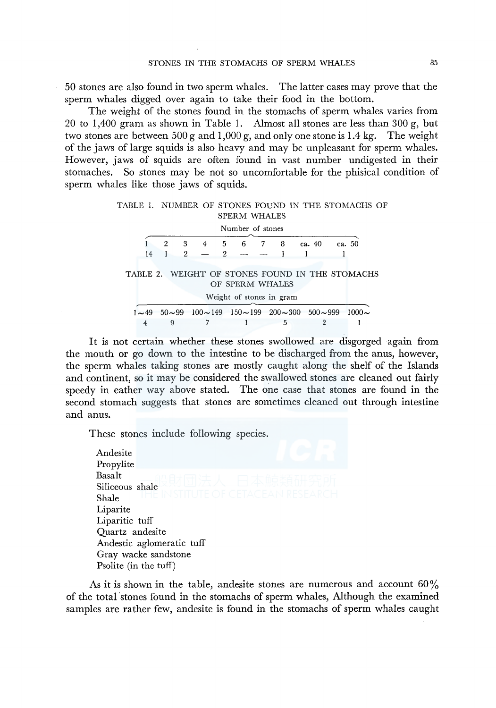50 stones are also found in two sperm whales. The latter cases may prove that the sperm whales digged over again to take their food in the bottom.

The weight of the stones found in the stomachs of sperm whales varies from 20 to 1,400 gram as shown in Table 1. Almost all stones are less than 300 g, but two stones are between  $500 \text{ g}$  and  $1,000 \text{ g}$ , and only one stone is 1.4 kg. The weight of the jaws of large squids is also heavy and may be unpleasant for sperm whales. However, jaws of squids are often found in vast number undigested in their stomaches. So stones may be not so uncomfortable for the phisical condition of sperm whales like those jaws of squids.

| TABLE 1. NUMBER OF STONES FOUND IN THE STOMACHS OF |     |  |             |                     |  |        |        |  |
|----------------------------------------------------|-----|--|-------------|---------------------|--|--------|--------|--|
|                                                    |     |  |             | <b>SPERM WHALES</b> |  |        |        |  |
|                                                    |     |  |             | Number of stones    |  |        |        |  |
|                                                    |     |  |             | 3 4 5 6 7 8         |  | ca. 40 | ca. 50 |  |
|                                                    | 14. |  | $2 - 2 - -$ |                     |  |        |        |  |

|  | TABLE 2. WEIGHT OF STONES FOUND IN THE STOMACHS |                          |  |  |  |
|--|-------------------------------------------------|--------------------------|--|--|--|
|  |                                                 | OF SPERM WHALES          |  |  |  |
|  |                                                 | Weight of stones in gram |  |  |  |

|  |  | $1 \sim 49$ 50 $\sim$ 99 100 $\sim$ 149 150 $\sim$ 199 200 $\sim$ 300 500 $\sim$ 999 1000 $\sim$ |  |
|--|--|--------------------------------------------------------------------------------------------------|--|
|  |  |                                                                                                  |  |

It is not certain whether these stones swollowed are disgorged again from the mouth or go down to the intestine to be discharged from the anus, however, the sperm whales taking stones are mostly caught along the shelf of the Islands and continent, so it may be considered the swallowed stones are cleaned out fairly speedy in eather way above stated. The one case that stones are found in the second stomach suggests that stones are sometimes cleaned out through intestine and anus.

These stones include following species.

Andesite Propylite Basalt Siliceous shale Shale Liparite Liparitic tuff Quartz andesite Andestic aglomeratic tuff Gray wacke sandstone Psolite (in the tuff)

As it is shown in the table, andesite stones are numerous and account  $60\%$ of the total 'stones found in the stomachs of sperm whales, Although the examined samples are rather few, andesite is found in the stomachs of sperm whales caught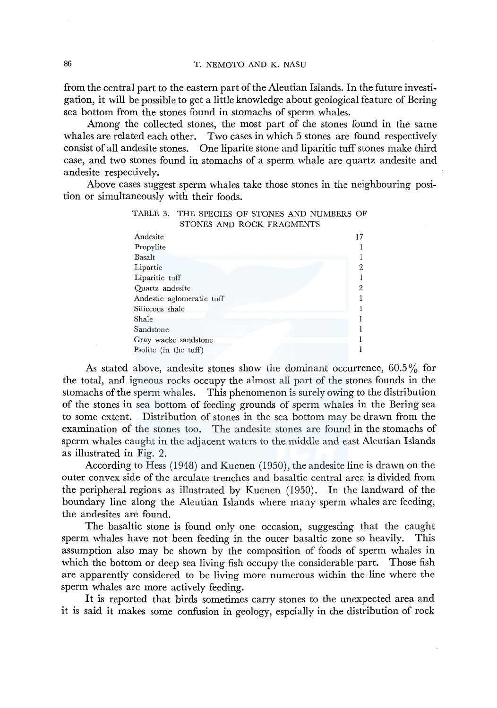from the central part to the eastern part of the Aleutian Islands. In the future investigation, it will be possible to get a little knowledge about geological feature of Bering sea bottom from the stones found in stomachs of sperm whales.

Among the collected stones, the most part of the stones found in the same whales are related each other. Two cases in which 5 stones are found respectively consist of all andesite stones. One liparite stone and liparitic tuff stones make third case, and two stones found in stomachs of a sperm whale are quartz andesite and andesite respectively.

Above cases suggest sperm whales take those stones in the neighbouring position or simultaneously with their foods.

TABLE 3. THE SPECIES OF STONES AND NUMBERS OF

| STONES AND ROCK FRAGMENTS |    |
|---------------------------|----|
| Andesite                  | 17 |
| Propylite                 |    |
| Basalt                    |    |
| Lipartie                  | 2  |
| Liparitic tuff            |    |
| Quartz andesite           | 2  |
| Andestic aglomeratic tuff |    |
| Siliceous shale           |    |
| Shale                     |    |
| Sandstone                 |    |
| Gray wacke sandstone      |    |
| Psolite (in the tuff)     |    |

As stated above, andesite stones show the dominant occurrence,  $60.5\%$  for the total, and igneous rocks occupy the almost all part of the stones founds in the stomachs of the sperm whales. This phenomenon is surely owing to the distribution of the stones in sea bottom of feeding grounds of sperm whales in the Bering sea to some extent. Distribution of stones in the sea bottom may be drawn from the examination of the stones too. The andesite stones are found in the stomachs of sperm whales caught in the adjacent waters to the middle and east Aleutian Islands as illustrated in Fig. 2.

According to Hess (1948) and Kuenen (1950), the andesite line is drawn on the outer convex side of the arculate trenches and basaltic central area is divided from the peripheral regions as illustrated by Kuenen (1950). In the landward of the boundary line along the Aleutian Islands where many sperm whales are feeding, the andesites are found.

The basaltic stone is found only one occasion, suggesting that the caught sperm whales have not been feeding in the outer basaltic zone so heavily. This assumption also may be shown by the composition of foods of sperm whales in which the bottom or deep sea living fish occupy the considerable part. Those fish are apparently considered to be living more numerous within the line where the sperm whales are more actively feeding.

It is reported that birds sometimes carry stones to the unexpected area and it is said it makes some confusion in geology, espcially in the distribution of rock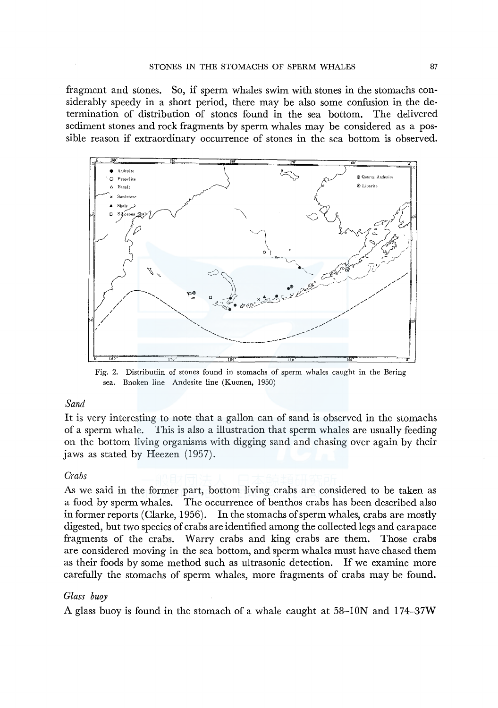fragment and stones. So, if sperm whales swim with stones in the stomachs considerably speedy in a short period, there may be also some confusion in the determination of distribution of stones found in the sea bottom. The delivered sediment stones and rock fragments by sperm whales may be considered as a possible reason if extraordinary occurrence of stones in the sea bottom is observed.



Fig. 2. Distributiin of stones found in stomachs of sperm whales caught in the Bering sea. Bnoken line-Andesite line (Kuenen, 1950)

### *Sand*

It is very interesting to note that a gallon can of sand is observed in the stomachs of a sperm whale. This is also a illustration that sperm whales are usually feeding on the bottom living organisms with digging sand and chasing over again by their jaws as stated by Heezen (1957).

### *Crabs*

As we said in the former part, bottom living crabs are considered to be taken as a food by sperm whales. The occurrence of benthos crabs has been described also in former reports (Clarke, 1956). In the stomachs of sperm whales, crabs are mostly digested, but two species of crabs are identified among the collected legs and carapace fragments of the crabs. Warry crabs and king crabs are them. Those crabs are considered moving in the sea bottom, and sperm whales must have chased them as their foods by some method such as ultrasonic detection. If we examine more carefully the stomachs of sperm whales, more fragments of crabs may be found.

### *Glass buoy*

A glass buoy is found in the stomach of a whale caught at 58-ION and I 74--37W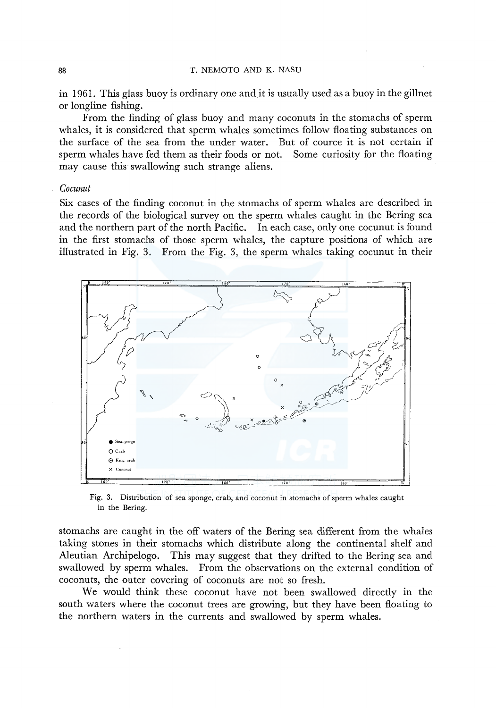#### **BB BB T. NEMOTO AND K. NASU**

in 1961. This glass buoy is ordinary one and.it is usually used as a buoy in the gillnet or longline fishing.

From the finding of glass buoy and many coconuts in the stomachs of sperm whales, it is considered that sperm whales sometimes follow floating substances on the surface of the sea from the under water. But of cource it is not certain if sperm whales have fed them as their foods or not. Some curiosity for the floating may cause this swallowing such strange aliens.

# *Cocunut*

Six cases of the finding coconut in the stomachs of sperm whales are described in the records of the biological survey on the sperm whales caught in the Bering sea and the northern part of the north Pacific. In each case, only one cocunut is found in the first stomachs of those sperm whales, the capture positions of which are illustrated in Fig. 3. From the Fig. 3, the sperm whales taking cocunut in their



Fig. 3. Distribution of sea sponge, crab, and coconut in stomachs of sperm whales caught in the Bering.

stomachs are caught in the off waters of the Bering sea different from the whales taking stones in their stomachs which distribute along the continental shelf and Aleutian Archipelogo. This may suggest that they drifted to the Bering sea and swallowed by sperm whales. From the observations on the external condition of coconuts, the outer covering of coconuts are not so fresh.

We would think these coconut have not been swallowed directly in the south waters where the coconut trees are growing, but they have been floating to the northern waters in the currents and swallowed by sperm whales.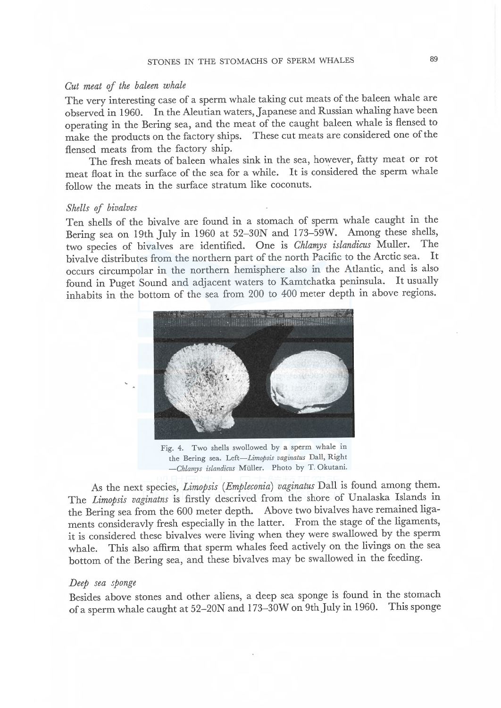### Cut meat ef the baleen whale

The very interesting case of a sperm whale taking cut meats of the baleen whale are observed in 1960. In the Aleutian waters, Japanese and Russian whaling have been operating in the Bering sea, and the meat of the caught baleen whale is flensed to make the products on the factory ships. flensed meats from the factory ship.

The fresh meats of baleen whales sink in the sea, however, fatty meat or rot meat float in the surface of the sea for a while. It is considered the sperm whale follow the meats in the surface stratum like coconuts.

#### Shells of bivalves

Ten shells of the bivalve are found in a stomach of sperm whale caught in the Bering sea on 19th July in 1960 at 52–30N and 173–59W. Among these shells, two species of bivalves are identified. One is Chlamys islandicus Muller. bivalve distributes from the northern part of the north Pacific to the Arctic sea. It occurs circumpolar in the northern hemisphere also in the Atlantic, and is also found in Puget Sound and adjacent waters to Kamtchatka peninsula. It usually inhabits in the bottom of the sea from 200 to 400 meter depth in above regions.



Fig. 4. Two shells swallowed by a sperm whale in the Bering sea. Left-Limopsis vaginatus Dall, Right -Chlamys islandicus Müller. Photo by T. Okutani.

As the next species, Limopsis (Empleconia) vaginatus Dall is found among them. The Limopsis vaginatns is firstly descrived from the shore of Unalaska Islands in the Bering sea from the 600 meter depth. Above two bivalves have remained ligaments consideravly fresh especially in the latter. From the stage of the ligaments, it is considered these bivalves were living when they were swallowed by the sperm whale. This also affirm that sperm whales feed actively on the livings on the sea bottom of the Bering sea, and these bivalves may be swallowed in the feeding.

#### Deep sea sponge

Besides above stones and other aliens, a deep sea sponge is found in the stomach of a sperm whale caught at 52-20N and 1 73-30W on 9th July in 1960. This sponge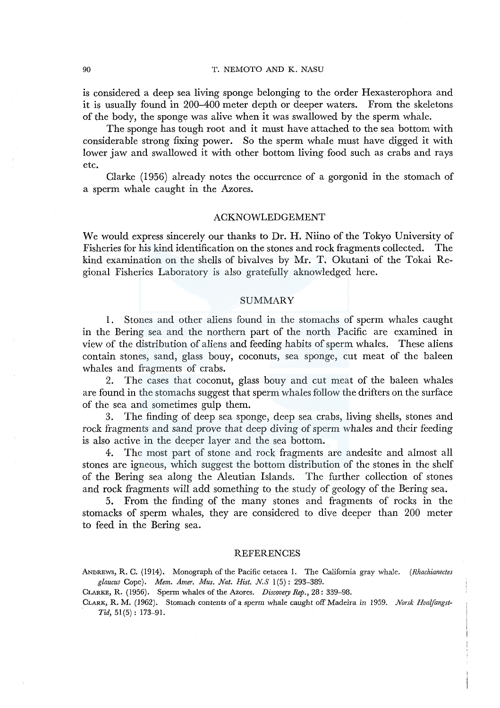### 90 T. NEMOTO AND K. NASU

is considered a deep sea living sponge belonging to the order Hexasterophora and it is usually found in 200-400 meter depth or deeper waters. From the skeletons of the body, the sponge was alive when it was swallowed by the sperm whale.

The sponge has tough root and it must have attached to the sea bottom with considerable strong fixing power. So the sperm whale must have digged it with lower jaw and swallowed it with other bottom living food such as crabs and rays etc.

Clarke (1956) already notes the occurrence of a gorgonid in the stomach of a sperm whale caught in the Azores.

# ACKNOWLEDGEMENT

We would express sincerely our thanks to Dr. H. Niino of the Tokyo University of Fisheries for his kind identification on the stones and rock fragments collected. The kind examination on the shells of bivalves by Mr. T. Okutani of the Tokai Regional Fisheries Laboratory is also gratefully aknowledged here.

# SUMMARY

I. Stones and other aliens found in the stomachs of sperm whales caught in the Bering sea and the northern part of the north Pacific are examined in view of the distribution of aliens and feeding habits of sperm whales. These aliens contain stones, sand, glass bouy, coconuts, sea sponge, cut meat of the baleen whales and fragments of crabs.

2. The cases that coconut, glass bouy and cut meat of the baleen whales are found in the stomachs suggest that sperm whales follow the drifters on the surface of the sea and sometimes gulp them.

3. The finding of deep sea sponge, deep sea crabs, living shells, stones and rock fragments and sand prove that deep diving of sperm whales and their feeding is also active in the deeper layer and the sea bottom.

4. The most part of stone and rock fragments are andesite and almost all stones are igneous, which suggest the bottom distribution of the stones in the shelf of the Bering sea along the Aleutian Islands. The further collection of stones and rock fragments will add something to the study of geology of the Bering sea.

5. From the finding of the many stones and fragments of rocks in the stomacks of sperm whales, they are considered to dive deeper than 200 meter to feed in the Bering sea.

#### REFERENCES

ANDREWS, R. C. (1914). Monograph of the Pacific cetacea I. The California gray whale. *(Rhachianectes glaucus* Cope). *Mem. Amer. Mus. Nat. Hist. N.S* 1 (5): 293-389.

CLARKE, R. (1956). Sperm whales of the Azores. *Discovery Rep.,* 28: 339-98.

CLARK, R. M. (1962). Stomach contents of a sperm whale caught off Madeira *in* 1959. *Norsk Hvalfangst-* $Tid, 51(5): 173-91.$